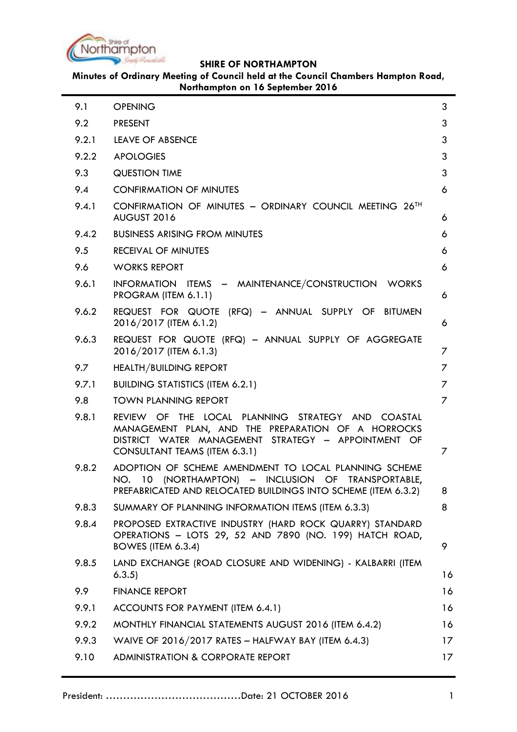

| 9.1   | <b>OPENING</b>                                                                                                                                                                                  | 3              |
|-------|-------------------------------------------------------------------------------------------------------------------------------------------------------------------------------------------------|----------------|
| 9.2   | <b>PRESENT</b>                                                                                                                                                                                  | 3              |
| 9.2.1 | <b>LEAVE OF ABSENCE</b>                                                                                                                                                                         | 3              |
| 9.2.2 | <b>APOLOGIES</b>                                                                                                                                                                                | 3              |
| 9.3   | <b>QUESTION TIME</b>                                                                                                                                                                            | 3              |
| 9.4   | <b>CONFIRMATION OF MINUTES</b>                                                                                                                                                                  | 6              |
| 9.4.1 | CONFIRMATION OF MINUTES - ORDINARY COUNCIL MEETING 26TH<br>AUGUST 2016                                                                                                                          | 6              |
| 9.4.2 | <b>BUSINESS ARISING FROM MINUTES</b>                                                                                                                                                            | 6              |
| 9.5   | RECEIVAL OF MINUTES                                                                                                                                                                             | 6              |
| 9.6   | <b>WORKS REPORT</b>                                                                                                                                                                             | 6              |
| 9.6.1 | INFORMATION ITEMS - MAINTENANCE/CONSTRUCTION WORKS<br>PROGRAM (ITEM 6.1.1)                                                                                                                      | 6              |
| 9.6.2 | REQUEST FOR QUOTE (RFQ) - ANNUAL SUPPLY OF BITUMEN<br>2016/2017 (ITEM 6.1.2)                                                                                                                    | 6              |
| 9.6.3 | REQUEST FOR QUOTE (RFQ) - ANNUAL SUPPLY OF AGGREGATE<br>2016/2017 (ITEM 6.1.3)                                                                                                                  | 7              |
| 9.7   | <b>HEALTH/BUILDING REPORT</b>                                                                                                                                                                   | 7              |
| 9.7.1 | <b>BUILDING STATISTICS (ITEM 6.2.1)</b>                                                                                                                                                         | 7              |
| 9.8   | <b>TOWN PLANNING REPORT</b>                                                                                                                                                                     | $\overline{7}$ |
| 9.8.1 | REVIEW OF THE LOCAL PLANNING STRATEGY AND COASTAL<br>MANAGEMENT PLAN, AND THE PREPARATION OF A HORROCKS<br>DISTRICT WATER MANAGEMENT STRATEGY - APPOINTMENT OF<br>CONSULTANT TEAMS (ITEM 6.3.1) | 7              |
| 9.8.2 | ADOPTION OF SCHEME AMENDMENT TO LOCAL PLANNING SCHEME<br>NO. 10 (NORTHAMPTON) – INCLUSION OF TRANSPORTABLE,<br>PREFABRICATED AND RELOCATED BUILDINGS INTO SCHEME (ITEM 6.3.2)                   | 8              |
| 9.8.3 | SUMMARY OF PLANNING INFORMATION ITEMS (ITEM 6.3.3)                                                                                                                                              | 8              |
| 9.8.4 | PROPOSED EXTRACTIVE INDUSTRY (HARD ROCK QUARRY) STANDARD<br>OPERATIONS - LOTS 29, 52 AND 7890 (NO. 199) HATCH ROAD,<br>BOWES (ITEM 6.3.4)                                                       | 9              |
| 9.8.5 | LAND EXCHANGE (ROAD CLOSURE AND WIDENING) - KALBARRI (ITEM<br>6.3.5                                                                                                                             | 16             |
| 9.9   | <b>FINANCE REPORT</b>                                                                                                                                                                           | 16             |
| 9.9.1 | ACCOUNTS FOR PAYMENT (ITEM 6.4.1)                                                                                                                                                               | 16             |
| 9.9.2 | MONTHLY FINANCIAL STATEMENTS AUGUST 2016 (ITEM 6.4.2)                                                                                                                                           | 16             |
| 9.9.3 | WAIVE OF 2016/2017 RATES - HALFWAY BAY (ITEM 6.4.3)                                                                                                                                             | 17             |
| 9.10  | ADMINISTRATION & CORPORATE REPORT                                                                                                                                                               | 17             |
|       |                                                                                                                                                                                                 |                |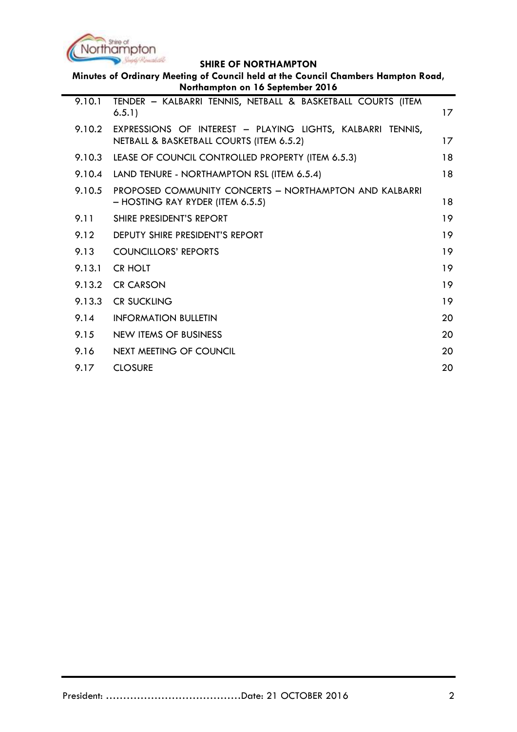

|        | <b>Control</b> Americans,<br><b>SHIRE OF NORTHAMPTON</b>                                                              |    |
|--------|-----------------------------------------------------------------------------------------------------------------------|----|
|        | Minutes of Ordinary Meeting of Council held at the Council Chambers Hampton Road,<br>Northampton on 16 September 2016 |    |
| 9.10.1 | TENDER - KALBARRI TENNIS, NETBALL & BASKETBALL COURTS (ITEM                                                           |    |
|        | 6.5.1)                                                                                                                | 17 |
| 9.10.2 | EXPRESSIONS OF INTEREST - PLAYING LIGHTS, KALBARRI TENNIS,<br>NETBALL & BASKETBALL COURTS (ITEM 6.5.2)                | 17 |
| 9.10.3 | LEASE OF COUNCIL CONTROLLED PROPERTY (ITEM 6.5.3)                                                                     | 18 |
| 9.10.4 | LAND TENURE - NORTHAMPTON RSL (ITEM 6.5.4)                                                                            | 18 |
| 9.10.5 | PROPOSED COMMUNITY CONCERTS - NORTHAMPTON AND KALBARRI<br>- HOSTING RAY RYDER (ITEM 6.5.5)                            | 18 |
| 9.11   | SHIRE PRESIDENT'S REPORT                                                                                              | 19 |
| 9.12   | DEPUTY SHIRE PRESIDENT'S REPORT                                                                                       | 19 |
| 9.13   | <b>COUNCILLORS' REPORTS</b>                                                                                           | 19 |
| 9.13.1 | <b>CR HOLT</b>                                                                                                        | 19 |
| 9.13.2 | <b>CR CARSON</b>                                                                                                      | 19 |
| 9.13.3 | <b>CR SUCKLING</b>                                                                                                    | 19 |
| 9.14   | <b>INFORMATION BULLETIN</b>                                                                                           | 20 |
| 9.15   | NEW ITEMS OF BUSINESS                                                                                                 | 20 |
| 9.16   | <b>NEXT MEETING OF COUNCIL</b>                                                                                        | 20 |
| 9.17   | <b>CLOSURE</b>                                                                                                        | 20 |
|        |                                                                                                                       |    |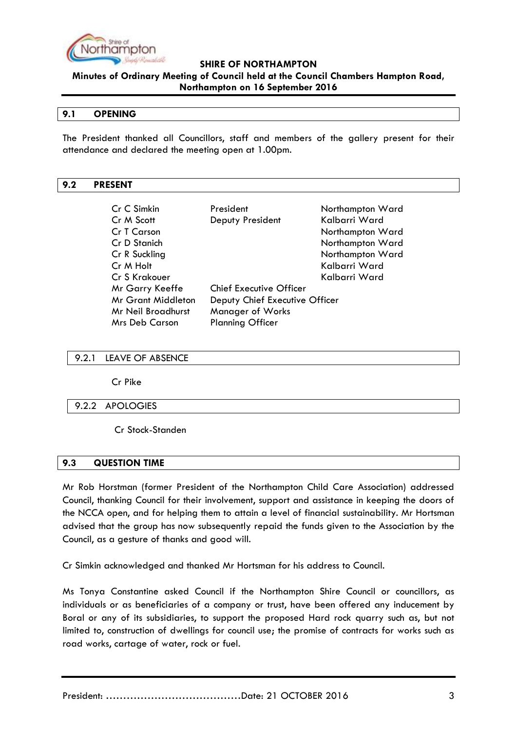

**Minutes of Ordinary Meeting of Council held at the Council Chambers Hampton Road, Northampton on 16 September 2016**

#### <span id="page-2-0"></span>**9.1 OPENING**

The President thanked all Councillors, staff and members of the gallery present for their attendance and declared the meeting open at 1.00pm.

#### <span id="page-2-1"></span>**9.2 PRESENT**

| Cr C Simkin                                                 | President                      | Northampton Ward |
|-------------------------------------------------------------|--------------------------------|------------------|
| Cr M Scott                                                  | Deputy President               | Kalbarri Ward    |
| Cr T Carson                                                 |                                | Northampton Ward |
| Cr D Stanich                                                |                                | Northampton Ward |
| Cr R Suckling                                               |                                | Northampton Ward |
| Cr M Holt                                                   |                                | Kalbarri Ward    |
| Cr S Krakouer                                               |                                | Kalbarri Ward    |
| Mr Garry Keeffe                                             | <b>Chief Executive Officer</b> |                  |
| <b>Mr Grant Middleton</b><br>Deputy Chief Executive Officer |                                |                  |
| <b>Manager of Works</b><br>Mr Neil Broadhurst               |                                |                  |
| <b>Mrs Deb Carson</b>                                       | <b>Planning Officer</b>        |                  |

#### <span id="page-2-2"></span>9.2.1 LEAVE OF ABSENCE

Cr Pike

#### <span id="page-2-3"></span>9.2.2 APOLOGIES

Cr Stock-Standen

#### <span id="page-2-4"></span>**9.3 QUESTION TIME**

Mr Rob Horstman (former President of the Northampton Child Care Association) addressed Council, thanking Council for their involvement, support and assistance in keeping the doors of the NCCA open, and for helping them to attain a level of financial sustainability. Mr Hortsman advised that the group has now subsequently repaid the funds given to the Association by the Council, as a gesture of thanks and good will.

Cr Simkin acknowledged and thanked Mr Hortsman for his address to Council.

Ms Tonya Constantine asked Council if the Northampton Shire Council or councillors, as individuals or as beneficiaries of a company or trust, have been offered any inducement by Boral or any of its subsidiaries, to support the proposed Hard rock quarry such as, but not limited to, construction of dwellings for council use; the promise of contracts for works such as road works, cartage of water, rock or fuel.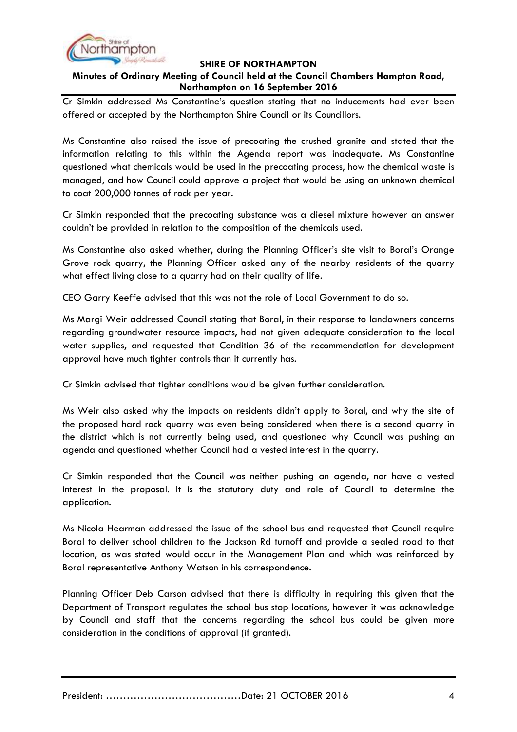

## **Minutes of Ordinary Meeting of Council held at the Council Chambers Hampton Road, Northampton on 16 September 2016**

Cr Simkin addressed Ms Constantine"s question stating that no inducements had ever been offered or accepted by the Northampton Shire Council or its Councillors.

Ms Constantine also raised the issue of precoating the crushed granite and stated that the information relating to this within the Agenda report was inadequate. Ms Constantine questioned what chemicals would be used in the precoating process, how the chemical waste is managed, and how Council could approve a project that would be using an unknown chemical to coat 200,000 tonnes of rock per year.

Cr Simkin responded that the precoating substance was a diesel mixture however an answer couldn"t be provided in relation to the composition of the chemicals used.

Ms Constantine also asked whether, during the Planning Officer"s site visit to Boral"s Orange Grove rock quarry, the Planning Officer asked any of the nearby residents of the quarry what effect living close to a quarry had on their quality of life.

CEO Garry Keeffe advised that this was not the role of Local Government to do so.

Ms Margi Weir addressed Council stating that Boral, in their response to landowners concerns regarding groundwater resource impacts, had not given adequate consideration to the local water supplies, and requested that Condition 36 of the recommendation for development approval have much tighter controls than it currently has.

Cr Simkin advised that tighter conditions would be given further consideration.

Ms Weir also asked why the impacts on residents didn"t apply to Boral, and why the site of the proposed hard rock quarry was even being considered when there is a second quarry in the district which is not currently being used, and questioned why Council was pushing an agenda and questioned whether Council had a vested interest in the quarry.

Cr Simkin responded that the Council was neither pushing an agenda, nor have a vested interest in the proposal. It is the statutory duty and role of Council to determine the application.

Ms Nicola Hearman addressed the issue of the school bus and requested that Council require Boral to deliver school children to the Jackson Rd turnoff and provide a sealed road to that location, as was stated would occur in the Management Plan and which was reinforced by Boral representative Anthony Watson in his correspondence.

Planning Officer Deb Carson advised that there is difficulty in requiring this given that the Department of Transport regulates the school bus stop locations, however it was acknowledge by Council and staff that the concerns regarding the school bus could be given more consideration in the conditions of approval (if granted).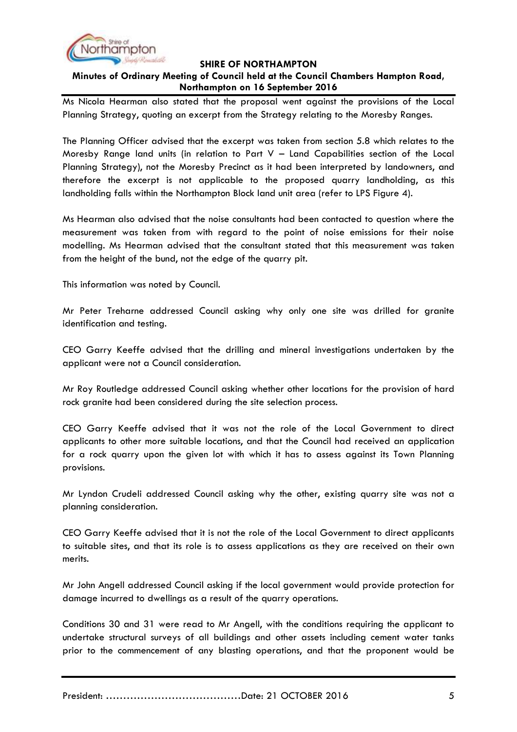

## **Minutes of Ordinary Meeting of Council held at the Council Chambers Hampton Road, Northampton on 16 September 2016**

Ms Nicola Hearman also stated that the proposal went against the provisions of the Local Planning Strategy, quoting an excerpt from the Strategy relating to the Moresby Ranges.

The Planning Officer advised that the excerpt was taken from section 5.8 which relates to the Moresby Range land units (in relation to Part V – Land Capabilities section of the Local Planning Strategy), not the Moresby Precinct as it had been interpreted by landowners, and therefore the excerpt is not applicable to the proposed quarry landholding, as this landholding falls within the Northampton Block land unit area (refer to LPS Figure 4).

Ms Hearman also advised that the noise consultants had been contacted to question where the measurement was taken from with regard to the point of noise emissions for their noise modelling. Ms Hearman advised that the consultant stated that this measurement was taken from the height of the bund, not the edge of the quarry pit.

This information was noted by Council.

Mr Peter Treharne addressed Council asking why only one site was drilled for granite identification and testing.

CEO Garry Keeffe advised that the drilling and mineral investigations undertaken by the applicant were not a Council consideration.

Mr Roy Routledge addressed Council asking whether other locations for the provision of hard rock granite had been considered during the site selection process.

CEO Garry Keeffe advised that it was not the role of the Local Government to direct applicants to other more suitable locations, and that the Council had received an application for a rock quarry upon the given lot with which it has to assess against its Town Planning provisions.

Mr Lyndon Crudeli addressed Council asking why the other, existing quarry site was not a planning consideration.

CEO Garry Keeffe advised that it is not the role of the Local Government to direct applicants to suitable sites, and that its role is to assess applications as they are received on their own merits.

Mr John Angell addressed Council asking if the local government would provide protection for damage incurred to dwellings as a result of the quarry operations.

Conditions 30 and 31 were read to Mr Angell, with the conditions requiring the applicant to undertake structural surveys of all buildings and other assets including cement water tanks prior to the commencement of any blasting operations, and that the proponent would be

President: …………………………………Date: 21 OCTOBER 2016 5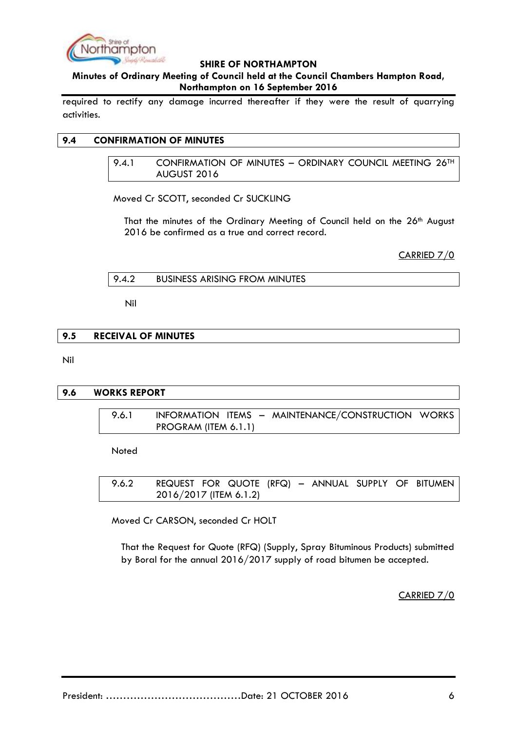

## **Minutes of Ordinary Meeting of Council held at the Council Chambers Hampton Road, Northampton on 16 September 2016**

required to rectify any damage incurred thereafter if they were the result of quarrying activities.

## <span id="page-5-1"></span><span id="page-5-0"></span>**9.4 CONFIRMATION OF MINUTES**

9.4.1 CONFIRMATION OF MINUTES - ORDINARY COUNCIL MEETING 26<sup>TH</sup> AUGUST 2016

Moved Cr SCOTT, seconded Cr SUCKLING

That the minutes of the Ordinary Meeting of Council held on the 26<sup>th</sup> August 2016 be confirmed as a true and correct record.

CARRIED 7/0

<span id="page-5-2"></span>9.4.2 BUSINESS ARISING FROM MINUTES

Nil

#### <span id="page-5-3"></span>**9.5 RECEIVAL OF MINUTES**

Nil

#### <span id="page-5-5"></span><span id="page-5-4"></span>**9.6 WORKS REPORT**

9.6.1 INFORMATION ITEMS - MAINTENANCE/CONSTRUCTION WORKS PROGRAM (ITEM 6.1.1)

**Noted** 

<span id="page-5-6"></span>9.6.2 REQUEST FOR QUOTE (RFQ) – ANNUAL SUPPLY OF BITUMEN 2016/2017 (ITEM 6.1.2)

Moved Cr CARSON, seconded Cr HOLT

That the Request for Quote (RFQ) (Supply, Spray Bituminous Products) submitted by Boral for the annual 2016/2017 supply of road bitumen be accepted.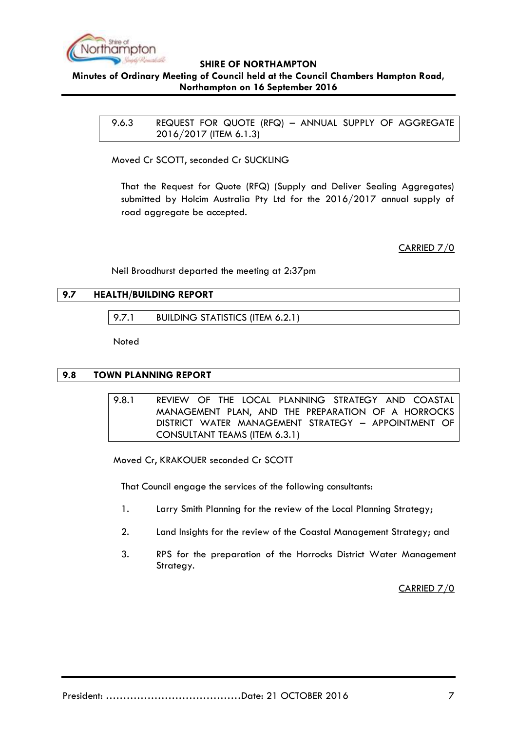

## <span id="page-6-0"></span>**Minutes of Ordinary Meeting of Council held at the Council Chambers Hampton Road, Northampton on 16 September 2016**

9.6.3 REQUEST FOR QUOTE (RFQ) – ANNUAL SUPPLY OF AGGREGATE 2016/2017 (ITEM 6.1.3)

Moved Cr SCOTT, seconded Cr SUCKLING

That the Request for Quote (RFQ) (Supply and Deliver Sealing Aggregates) submitted by Holcim Australia Pty Ltd for the 2016/2017 annual supply of road aggregate be accepted.

CARRIED 7/0

Neil Broadhurst departed the meeting at 2:37pm

## <span id="page-6-2"></span><span id="page-6-1"></span>**9.7 HEALTH/BUILDING REPORT**

9.7.1 BUILDING STATISTICS (ITEM 6.2.1)

**Noted** 

## <span id="page-6-4"></span><span id="page-6-3"></span>**9.8 TOWN PLANNING REPORT**

9.8.1 REVIEW OF THE LOCAL PLANNING STRATEGY AND COASTAL MANAGEMENT PLAN, AND THE PREPARATION OF A HORROCKS DISTRICT WATER MANAGEMENT STRATEGY – APPOINTMENT OF CONSULTANT TEAMS (ITEM 6.3.1)

Moved Cr, KRAKOUER seconded Cr SCOTT

That Council engage the services of the following consultants:

- 1. Larry Smith Planning for the review of the Local Planning Strategy;
- 2. Land Insights for the review of the Coastal Management Strategy; and
- 3. RPS for the preparation of the Horrocks District Water Management Strategy.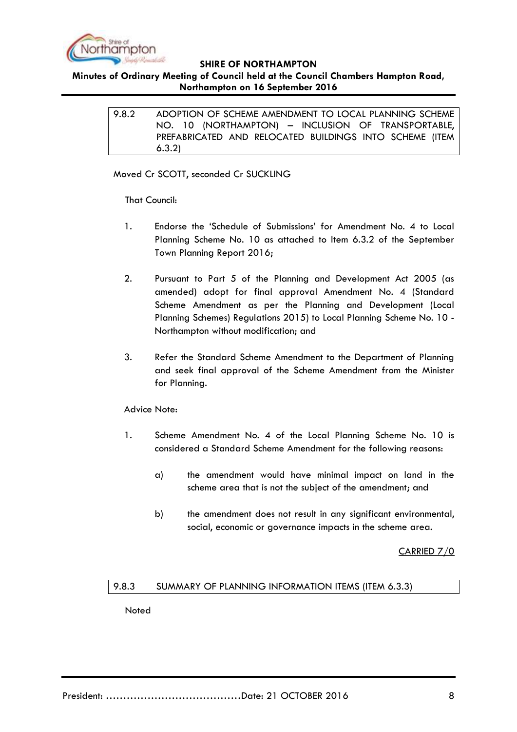

## <span id="page-7-0"></span>**Minutes of Ordinary Meeting of Council held at the Council Chambers Hampton Road, Northampton on 16 September 2016**

9.8.2 ADOPTION OF SCHEME AMENDMENT TO LOCAL PLANNING SCHEME NO. 10 (NORTHAMPTON) – INCLUSION OF TRANSPORTABLE, PREFABRICATED AND RELOCATED BUILDINGS INTO SCHEME (ITEM 6.3.2)

Moved Cr SCOTT, seconded Cr SUCKLING

That Council:

- 1. Endorse the "Schedule of Submissions" for Amendment No. 4 to Local Planning Scheme No. 10 as attached to Item 6.3.2 of the September Town Planning Report 2016;
- 2. Pursuant to Part 5 of the Planning and Development Act 2005 (as amended) adopt for final approval Amendment No. 4 (Standard Scheme Amendment as per the Planning and Development (Local Planning Schemes) Regulations 2015) to Local Planning Scheme No. 10 - Northampton without modification; and
- 3. Refer the Standard Scheme Amendment to the Department of Planning and seek final approval of the Scheme Amendment from the Minister for Planning.

## Advice Note:

- 1. Scheme Amendment No. 4 of the Local Planning Scheme No. 10 is considered a Standard Scheme Amendment for the following reasons:
	- a) the amendment would have minimal impact on land in the scheme area that is not the subject of the amendment; and
	- b) the amendment does not result in any significant environmental, social, economic or governance impacts in the scheme area.

CARRIED 7/0

## <span id="page-7-1"></span>9.8.3 SUMMARY OF PLANNING INFORMATION ITEMS (ITEM 6.3.3)

**Noted**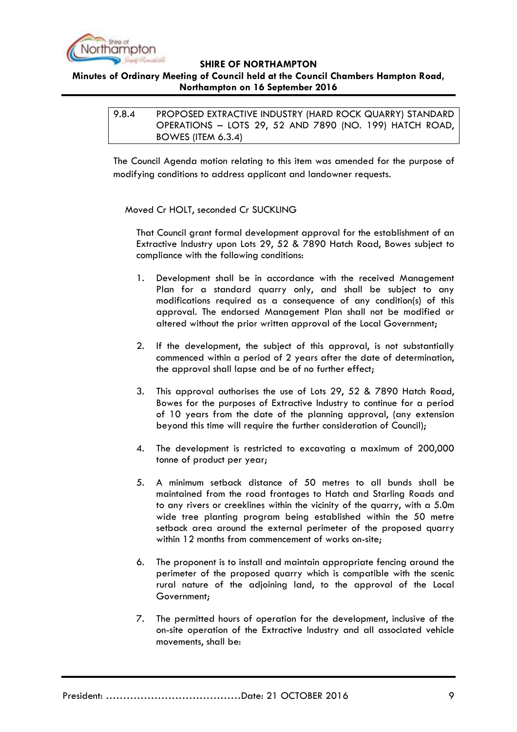

## <span id="page-8-0"></span>**Minutes of Ordinary Meeting of Council held at the Council Chambers Hampton Road, Northampton on 16 September 2016**

| 9.8.4 | PROPOSED EXTRACTIVE INDUSTRY (HARD ROCK QUARRY) STANDARD |
|-------|----------------------------------------------------------|
|       | OPERATIONS - LOTS 29, 52 AND 7890 (NO. 199) HATCH ROAD,  |
|       | BOWES (ITEM 6.3.4)                                       |

The Council Agenda motion relating to this item was amended for the purpose of modifying conditions to address applicant and landowner requests.

Moved Cr HOLT, seconded Cr SUCKLING

That Council grant formal development approval for the establishment of an Extractive Industry upon Lots 29, 52 & 7890 Hatch Road, Bowes subject to compliance with the following conditions:

- 1. Development shall be in accordance with the received Management Plan for a standard quarry only, and shall be subject to any modifications required as a consequence of any condition(s) of this approval. The endorsed Management Plan shall not be modified or altered without the prior written approval of the Local Government;
- 2. If the development, the subject of this approval, is not substantially commenced within a period of 2 years after the date of determination, the approval shall lapse and be of no further effect;
- 3. This approval authorises the use of Lots 29, 52 & 7890 Hatch Road, Bowes for the purposes of Extractive Industry to continue for a period of 10 years from the date of the planning approval, (any extension beyond this time will require the further consideration of Council);
- 4. The development is restricted to excavating a maximum of 200,000 tonne of product per year;
- 5. A minimum setback distance of 50 metres to all bunds shall be maintained from the road frontages to Hatch and Starling Roads and to any rivers or creeklines within the vicinity of the quarry, with a 5.0m wide tree planting program being established within the 50 metre setback area around the external perimeter of the proposed quarry within 12 months from commencement of works on-site;
- 6. The proponent is to install and maintain appropriate fencing around the perimeter of the proposed quarry which is compatible with the scenic rural nature of the adjoining land, to the approval of the Local Government;
- 7. The permitted hours of operation for the development, inclusive of the on-site operation of the Extractive Industry and all associated vehicle movements, shall be: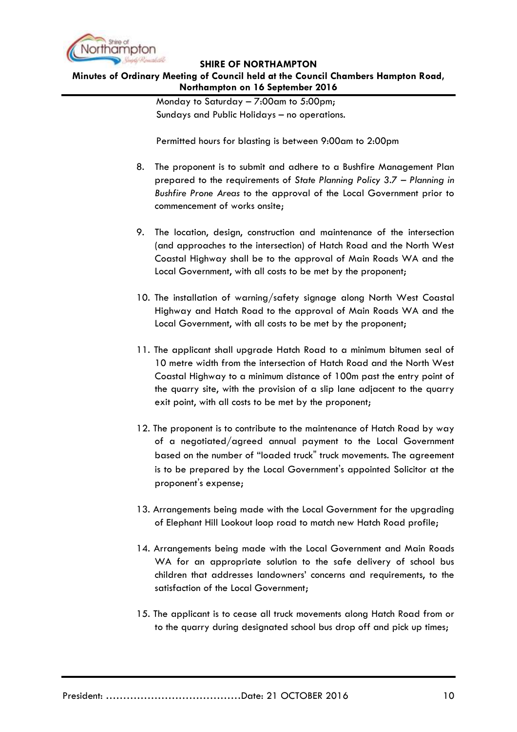

#### **Minutes of Ordinary Meeting of Council held at the Council Chambers Hampton Road, Northampton on 16 September 2016**

Monday to Saturday – 7:00am to 5:00pm; Sundays and Public Holidays – no operations.

Permitted hours for blasting is between 9:00am to 2:00pm

- 8. The proponent is to submit and adhere to a Bushfire Management Plan prepared to the requirements of *State Planning Policy 3.7 – Planning in Bushfire Prone Areas* to the approval of the Local Government prior to commencement of works onsite;
- 9. The location, design, construction and maintenance of the intersection (and approaches to the intersection) of Hatch Road and the North West Coastal Highway shall be to the approval of Main Roads WA and the Local Government, with all costs to be met by the proponent;
- 10. The installation of warning/safety signage along North West Coastal Highway and Hatch Road to the approval of Main Roads WA and the Local Government, with all costs to be met by the proponent;
- 11. The applicant shall upgrade Hatch Road to a minimum bitumen seal of 10 metre width from the intersection of Hatch Road and the North West Coastal Highway to a minimum distance of 100m past the entry point of the quarry site, with the provision of a slip lane adjacent to the quarry exit point, with all costs to be met by the proponent;
- 12. The proponent is to contribute to the maintenance of Hatch Road by way of a negotiated/agreed annual payment to the Local Government based on the number of "loaded truck" truck movements. The agreement is to be prepared by the Local Government's appointed Solicitor at the proponent's expense;
- 13. Arrangements being made with the Local Government for the upgrading of Elephant Hill Lookout loop road to match new Hatch Road profile;
- 14. Arrangements being made with the Local Government and Main Roads WA for an appropriate solution to the safe delivery of school bus children that addresses landowners" concerns and requirements, to the satisfaction of the Local Government;
- 15. The applicant is to cease all truck movements along Hatch Road from or to the quarry during designated school bus drop off and pick up times;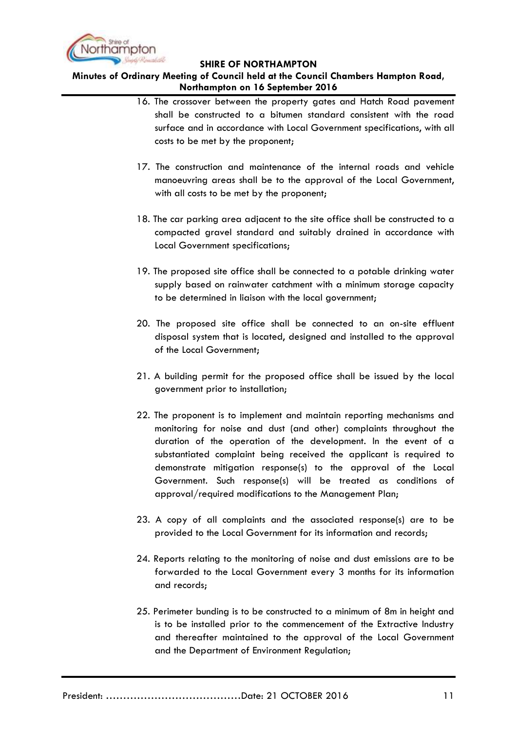

- 16. The crossover between the property gates and Hatch Road pavement shall be constructed to a bitumen standard consistent with the road surface and in accordance with Local Government specifications, with all costs to be met by the proponent;
- 17. The construction and maintenance of the internal roads and vehicle manoeuvring areas shall be to the approval of the Local Government, with all costs to be met by the proponent;
- 18. The car parking area adjacent to the site office shall be constructed to a compacted gravel standard and suitably drained in accordance with Local Government specifications;
- 19. The proposed site office shall be connected to a potable drinking water supply based on rainwater catchment with a minimum storage capacity to be determined in liaison with the local government;
- 20. The proposed site office shall be connected to an on-site effluent disposal system that is located, designed and installed to the approval of the Local Government;
- 21. A building permit for the proposed office shall be issued by the local government prior to installation;
- 22. The proponent is to implement and maintain reporting mechanisms and monitoring for noise and dust (and other) complaints throughout the duration of the operation of the development. In the event of a substantiated complaint being received the applicant is required to demonstrate mitigation response(s) to the approval of the Local Government. Such response(s) will be treated as conditions of approval/required modifications to the Management Plan;
- 23. A copy of all complaints and the associated response(s) are to be provided to the Local Government for its information and records;
- 24. Reports relating to the monitoring of noise and dust emissions are to be forwarded to the Local Government every 3 months for its information and records;
- 25. Perimeter bunding is to be constructed to a minimum of 8m in height and is to be installed prior to the commencement of the Extractive Industry and thereafter maintained to the approval of the Local Government and the Department of Environment Regulation;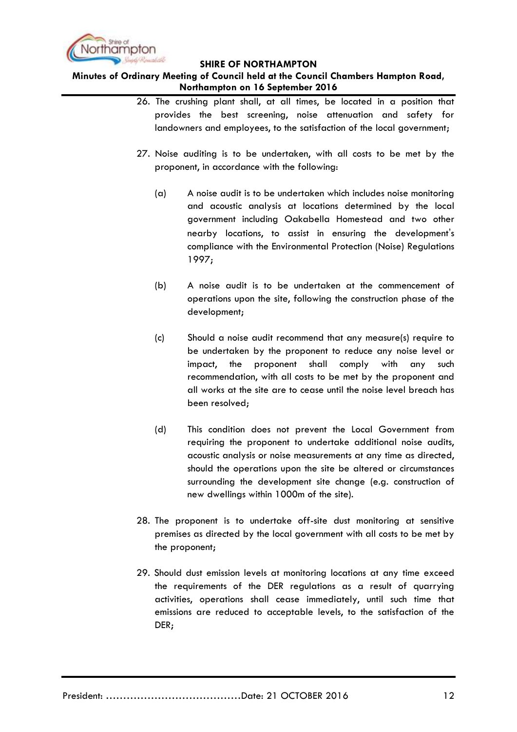

- 26. The crushing plant shall, at all times, be located in a position that provides the best screening, noise attenuation and safety for landowners and employees, to the satisfaction of the local government;
- 27. Noise auditing is to be undertaken, with all costs to be met by the proponent, in accordance with the following:
	- (a) A noise audit is to be undertaken which includes noise monitoring and acoustic analysis at locations determined by the local government including Oakabella Homestead and two other nearby locations, to assist in ensuring the development's compliance with the Environmental Protection (Noise) Regulations 1997;
	- (b) A noise audit is to be undertaken at the commencement of operations upon the site, following the construction phase of the development;
	- (c) Should a noise audit recommend that any measure(s) require to be undertaken by the proponent to reduce any noise level or impact, the proponent shall comply with any such recommendation, with all costs to be met by the proponent and all works at the site are to cease until the noise level breach has been resolved;
	- (d) This condition does not prevent the Local Government from requiring the proponent to undertake additional noise audits, acoustic analysis or noise measurements at any time as directed, should the operations upon the site be altered or circumstances surrounding the development site change (e.g. construction of new dwellings within 1000m of the site).
- 28. The proponent is to undertake off-site dust monitoring at sensitive premises as directed by the local government with all costs to be met by the proponent;
- 29. Should dust emission levels at monitoring locations at any time exceed the requirements of the DER regulations as a result of quarrying activities, operations shall cease immediately, until such time that emissions are reduced to acceptable levels, to the satisfaction of the DER;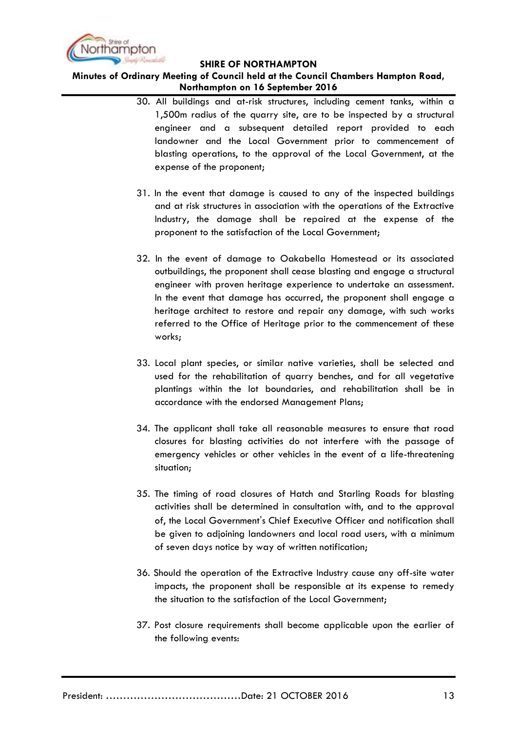

- 30. All buildings and at-risk structures, including cement tanks, within a 1,500m radius of the quarry site, are to be inspected by a structural engineer and a subsequent detailed report provided to each landowner and the Local Government prior to commencement of blasting operations, to the approval of the Local Government, at the expense of the proponent;
- 31. In the event that damage is caused to any of the inspected buildings and at risk structures in association with the operations of the Extractive Industry, the damage shall be repaired at the expense of the proponent to the satisfaction of the Local Government;
- 32. In the event of damage to Oakabella Homestead or its associated outbuildings, the proponent shall cease blasting and engage a structural engineer with proven heritage experience to undertake an assessment. In the event that damage has occurred, the proponent shall engage a heritage architect to restore and repair any damage, with such works referred to the Office of Heritage prior to the commencement of these works;
- 33. Local plant species, or similar native varieties, shall be selected and used for the rehabilitation of quarry benches, and for all vegetative plantings within the lot boundaries, and rehabilitation shall be in accordance with the endorsed Management Plans;
- 34. The applicant shall take all reasonable measures to ensure that road closures for blasting activities do not interfere with the passage of emergency vehicles or other vehicles in the event of a life-threatening situation;
- 35. The timing of road closures of Hatch and Starling Roads for blasting activities shall be determined in consultation with, and to the approval of, the Local Government's Chief Executive Officer and notification shall be given to adjoining landowners and local road users, with a minimum of seven days notice by way of written notification;
- 36. Should the operation of the Extractive Industry cause any off-site water impacts, the proponent shall be responsible at its expense to remedy the situation to the satisfaction of the Local Government;
- 37. Post closure requirements shall become applicable upon the earlier of the following events: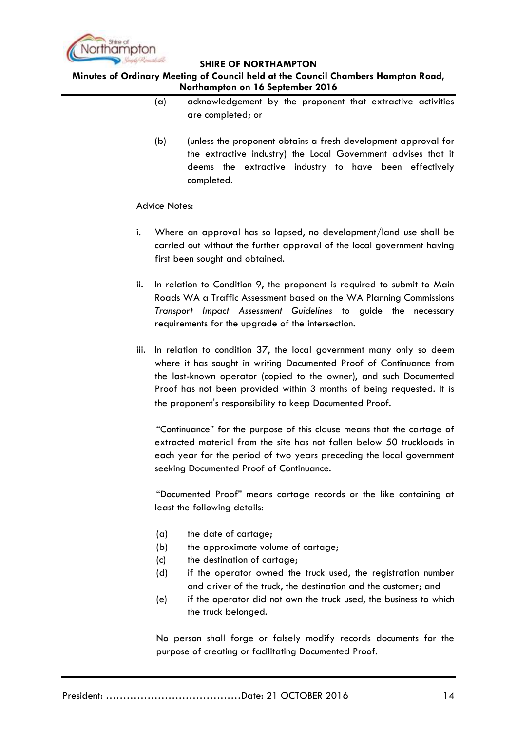

## **Minutes of Ordinary Meeting of Council held at the Council Chambers Hampton Road, Northampton on 16 September 2016**

- (a) acknowledgement by the proponent that extractive activities are completed; or
- (b) (unless the proponent obtains a fresh development approval for the extractive industry) the Local Government advises that it deems the extractive industry to have been effectively completed.

#### Advice Notes:

- i. Where an approval has so lapsed, no development/land use shall be carried out without the further approval of the local government having first been sought and obtained.
- ii. In relation to Condition 9, the proponent is required to submit to Main Roads WA a Traffic Assessment based on the WA Planning Commissions *Transport Impact Assessment Guidelines* to guide the necessary requirements for the upgrade of the intersection.
- iii. In relation to condition 37, the local government many only so deem where it has sought in writing Documented Proof of Continuance from the last-known operator (copied to the owner), and such Documented Proof has not been provided within 3 months of being requested. It is the proponent's responsibility to keep Documented Proof.

"Continuance" for the purpose of this clause means that the cartage of extracted material from the site has not fallen below 50 truckloads in each year for the period of two years preceding the local government seeking Documented Proof of Continuance.

"Documented Proof" means cartage records or the like containing at least the following details:

- (a) the date of cartage;
- (b) the approximate volume of cartage;
- (c) the destination of cartage;
- (d) if the operator owned the truck used, the registration number and driver of the truck, the destination and the customer; and
- (e) if the operator did not own the truck used, the business to which the truck belonged.

No person shall forge or falsely modify records documents for the purpose of creating or facilitating Documented Proof.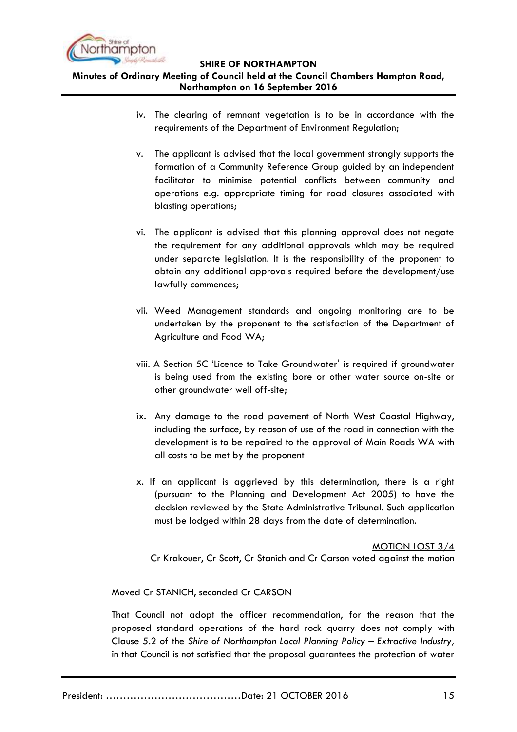

**Minutes of Ordinary Meeting of Council held at the Council Chambers Hampton Road, Northampton on 16 September 2016**

- iv. The clearing of remnant vegetation is to be in accordance with the requirements of the Department of Environment Regulation;
- v. The applicant is advised that the local government strongly supports the formation of a Community Reference Group guided by an independent facilitator to minimise potential conflicts between community and operations e.g. appropriate timing for road closures associated with blasting operations;
- vi. The applicant is advised that this planning approval does not negate the requirement for any additional approvals which may be required under separate legislation. It is the responsibility of the proponent to obtain any additional approvals required before the development/use lawfully commences;
- vii. Weed Management standards and ongoing monitoring are to be undertaken by the proponent to the satisfaction of the Department of Agriculture and Food WA;
- viii. A Section 5C "Licence to Take Groundwater' is required if groundwater is being used from the existing bore or other water source on-site or other groundwater well off-site;
- ix. Any damage to the road pavement of North West Coastal Highway, including the surface, by reason of use of the road in connection with the development is to be repaired to the approval of Main Roads WA with all costs to be met by the proponent
- x. If an applicant is aggrieved by this determination, there is a right (pursuant to the Planning and Development Act 2005) to have the decision reviewed by the State Administrative Tribunal. Such application must be lodged within 28 days from the date of determination.

MOTION LOST 3/4 Cr Krakouer, Cr Scott, Cr Stanich and Cr Carson voted against the motion

Moved Cr STANICH, seconded Cr CARSON

That Council not adopt the officer recommendation, for the reason that the proposed standard operations of the hard rock quarry does not comply with Clause 5.2 of the *Shire of Northampton Local Planning Policy – Extractive Industry,* in that Council is not satisfied that the proposal guarantees the protection of water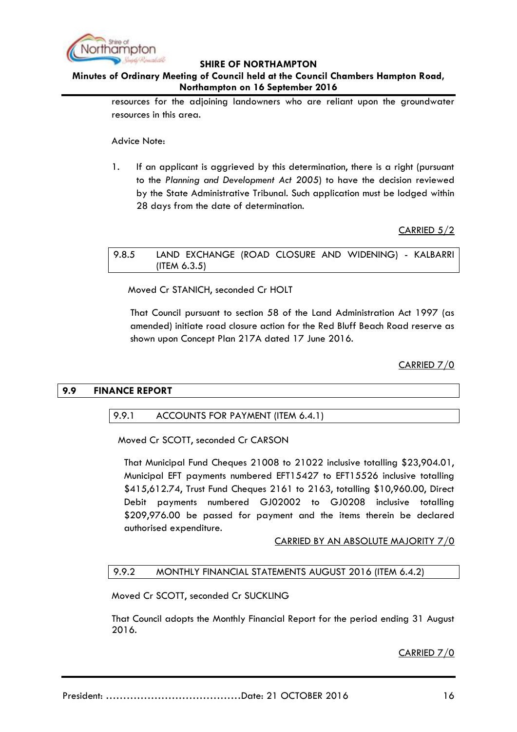

## **Minutes of Ordinary Meeting of Council held at the Council Chambers Hampton Road, Northampton on 16 September 2016**

resources for the adjoining landowners who are reliant upon the groundwater resources in this area.

Advice Note:

1. If an applicant is aggrieved by this determination, there is a right (pursuant to the *Planning and Development Act 2005*) to have the decision reviewed by the State Administrative Tribunal. Such application must be lodged within 28 days from the date of determination.

CARRIED 5/2

## <span id="page-15-0"></span>9.8.5 LAND EXCHANGE (ROAD CLOSURE AND WIDENING) - KALBARRI (ITEM 6.3.5)

Moved Cr STANICH, seconded Cr HOLT

That Council pursuant to section 58 of the Land Administration Act 1997 (as amended) initiate road closure action for the Red Bluff Beach Road reserve as shown upon Concept Plan 217A dated 17 June 2016.

CARRIED 7/0

#### <span id="page-15-2"></span><span id="page-15-1"></span>**9.9 FINANCE REPORT**

#### 9.9.1 ACCOUNTS FOR PAYMENT (ITEM 6.4.1)

Moved Cr SCOTT, seconded Cr CARSON

That Municipal Fund Cheques 21008 to 21022 inclusive totalling \$23,904.01, Municipal EFT payments numbered EFT15427 to EFT15526 inclusive totalling \$415,612.74, Trust Fund Cheques 2161 to 2163, totalling \$10,960.00, Direct Debit payments numbered GJ02002 to GJ0208 inclusive totalling \$209,976.00 be passed for payment and the items therein be declared authorised expenditure.

#### CARRIED BY AN ABSOLUTE MAJORITY 7/0

#### <span id="page-15-3"></span>9.9.2 MONTHLY FINANCIAL STATEMENTS AUGUST 2016 (ITEM 6.4.2)

Moved Cr SCOTT, seconded Cr SUCKLING

That Council adopts the Monthly Financial Report for the period ending 31 August 2016.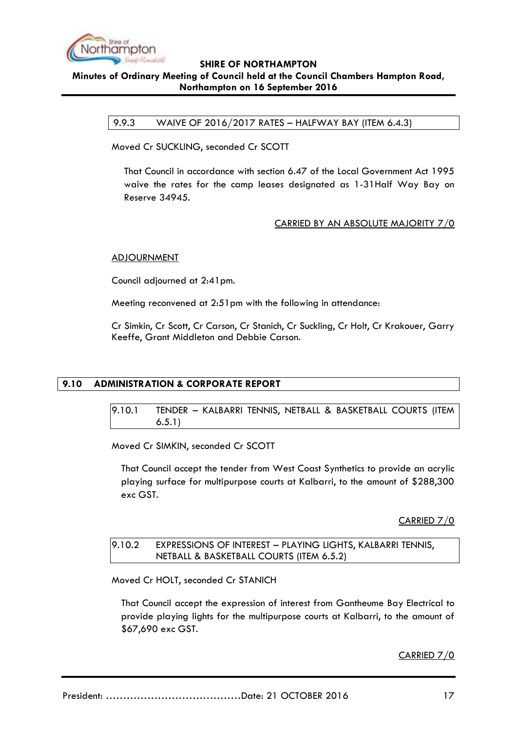

## <span id="page-16-0"></span>**SHIRE OF NORTHAMPTON Minutes of Ordinary Meeting of Council held at the Council Chambers Hampton Road, Northampton on 16 September 2016**

9.9.3 WAIVE OF 2016/2017 RATES – HALFWAY BAY (ITEM 6.4.3)

Moved Cr SUCKLING, seconded Cr SCOTT

That Council in accordance with section 6.47 of the Local Government Act 1995 waive the rates for the camp leases designated as 1-31Half Way Bay on Reserve 34945.

## CARRIED BY AN ABSOLUTE MAJORITY 7/0

#### ADJOURNMENT

Council adjourned at 2:41pm.

Meeting reconvened at 2:51pm with the following in attendance:

Cr Simkin, Cr Scott, Cr Carson, Cr Stanich, Cr Suckling, Cr Holt, Cr Krakouer, Garry Keeffe, Grant Middleton and Debbie Carson.

## <span id="page-16-2"></span><span id="page-16-1"></span>**9.10 ADMINISTRATION & CORPORATE REPORT**

9.10.1 TENDER – KALBARRI TENNIS, NETBALL & BASKETBALL COURTS (ITEM 6.5.1)

Moved Cr SIMKIN, seconded Cr SCOTT

That Council accept the tender from West Coast Synthetics to provide an acrylic playing surface for multipurpose courts at Kalbarri, to the amount of \$288,300 exc GST.

CARRIED 7/0

#### <span id="page-16-3"></span>9.10.2 EXPRESSIONS OF INTEREST – PLAYING LIGHTS, KALBARRI TENNIS, NETBALL & BASKETBALL COURTS (ITEM 6.5.2)

Moved Cr HOLT, seconded Cr STANICH

That Council accept the expression of interest from Gantheume Bay Electrical to provide playing lights for the multipurpose courts at Kalbarri, to the amount of \$67,690 exc GST.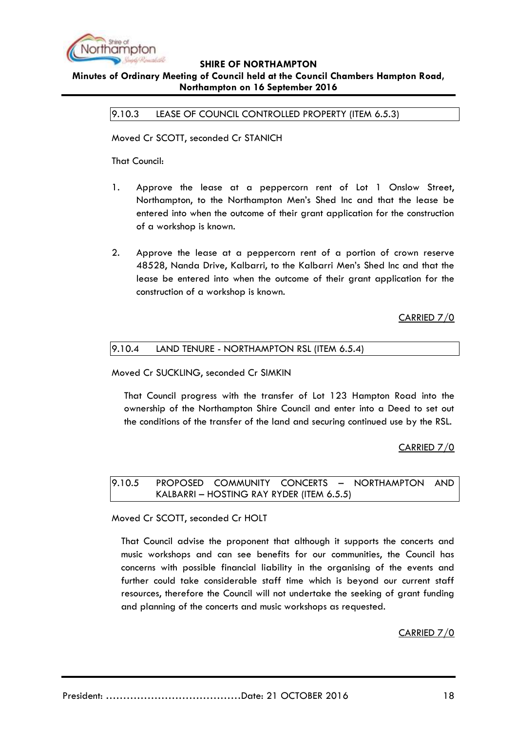

#### <span id="page-17-0"></span>**Minutes of Ordinary Meeting of Council held at the Council Chambers Hampton Road, Northampton on 16 September 2016**

9.10.3 LEASE OF COUNCIL CONTROLLED PROPERTY (ITEM 6.5.3)

Moved Cr SCOTT, seconded Cr STANICH

That Council:

- 1. Approve the lease at a peppercorn rent of Lot 1 Onslow Street, Northampton, to the Northampton Men"s Shed Inc and that the lease be entered into when the outcome of their grant application for the construction of a workshop is known.
- 2. Approve the lease at a peppercorn rent of a portion of crown reserve 48528, Nanda Drive, Kalbarri, to the Kalbarri Men"s Shed Inc and that the lease be entered into when the outcome of their grant application for the construction of a workshop is known.

CARRIED 7/0

<span id="page-17-1"></span>

|  | 9.10.4 |  | LAND TENURE - NORTHAMPTON RSL (ITEM 6.5.4) |  |  |
|--|--------|--|--------------------------------------------|--|--|
|--|--------|--|--------------------------------------------|--|--|

Moved Cr SUCKLING, seconded Cr SIMKIN

That Council progress with the transfer of Lot 123 Hampton Road into the ownership of the Northampton Shire Council and enter into a Deed to set out the conditions of the transfer of the land and securing continued use by the RSL.

## CARRIED 7/0

<span id="page-17-2"></span>9.10.5 PROPOSED COMMUNITY CONCERTS – NORTHAMPTON AND KALBARRI – HOSTING RAY RYDER (ITEM 6.5.5)

Moved Cr SCOTT, seconded Cr HOLT

That Council advise the proponent that although it supports the concerts and music workshops and can see benefits for our communities, the Council has concerns with possible financial liability in the organising of the events and further could take considerable staff time which is beyond our current staff resources, therefore the Council will not undertake the seeking of grant funding and planning of the concerts and music workshops as requested.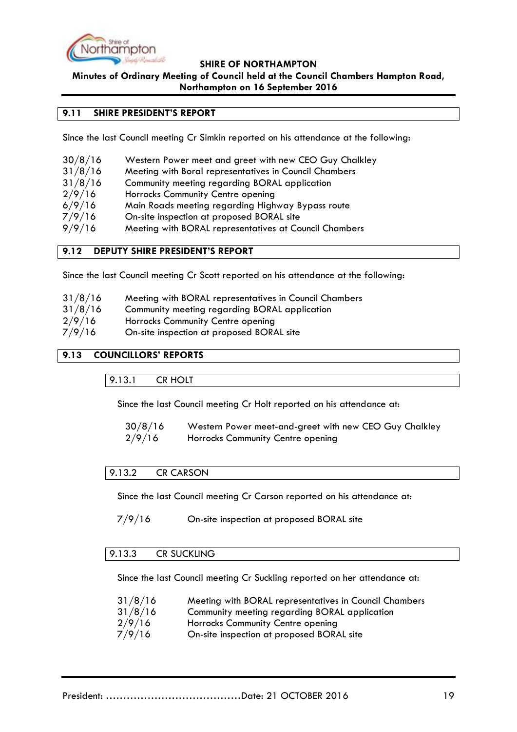

**Minutes of Ordinary Meeting of Council held at the Council Chambers Hampton Road,** 

#### **Northampton on 16 September 2016**

## <span id="page-18-0"></span>**9.11 SHIRE PRESIDENT'S REPORT**

Since the last Council meeting Cr Simkin reported on his attendance at the following:

| 30/8/16 | Western Power meet and greet with new CEO Guy Chalkley |
|---------|--------------------------------------------------------|
|---------|--------------------------------------------------------|

- 31/8/16 Meeting with Boral representatives in Council Chambers
- 31/8/16 Community meeting regarding BORAL application
- 2/9/16 Horrocks Community Centre opening
- 6/9/16 Main Roads meeting regarding Highway Bypass route
- 7/9/16 On-site inspection at proposed BORAL site
- 9/9/16 Meeting with BORAL representatives at Council Chambers

#### <span id="page-18-1"></span>**9.12 DEPUTY SHIRE PRESIDENT'S REPORT**

Since the last Council meeting Cr Scott reported on his attendance at the following:

| 31/8/16 | Meeting with BORAL representatives in Council Chambers |  |
|---------|--------------------------------------------------------|--|
|         |                                                        |  |

- 31/8/16 Community meeting regarding BORAL application
- 2/9/16 Horrocks Community Centre opening
- 7/9/16 On-site inspection at proposed BORAL site

## <span id="page-18-3"></span><span id="page-18-2"></span>**9.13 COUNCILLORS' REPORTS**

9.13.1 CR HOLT

Since the last Council meeting Cr Holt reported on his attendance at:

| 30/8/16 | Western Power meet-and-greet with new CEO Guy Chalkley |
|---------|--------------------------------------------------------|
| 2/9/16  | Horrocks Community Centre opening                      |

#### <span id="page-18-4"></span>9.13.2 CR CARSON

Since the last Council meeting Cr Carson reported on his attendance at:

7/9/16 On-site inspection at proposed BORAL site

## <span id="page-18-5"></span>9.13.3 CR SUCKLING

Since the last Council meeting Cr Suckling reported on her attendance at:

| 31/8/16 | Meeting with BORAL representatives in Council Chambers |
|---------|--------------------------------------------------------|
| 31/8/16 | Community meeting regarding BORAL application          |
| 2/9/16  | Horrocks Community Centre opening                      |
| 7/9/16  | On-site inspection at proposed BORAL site              |